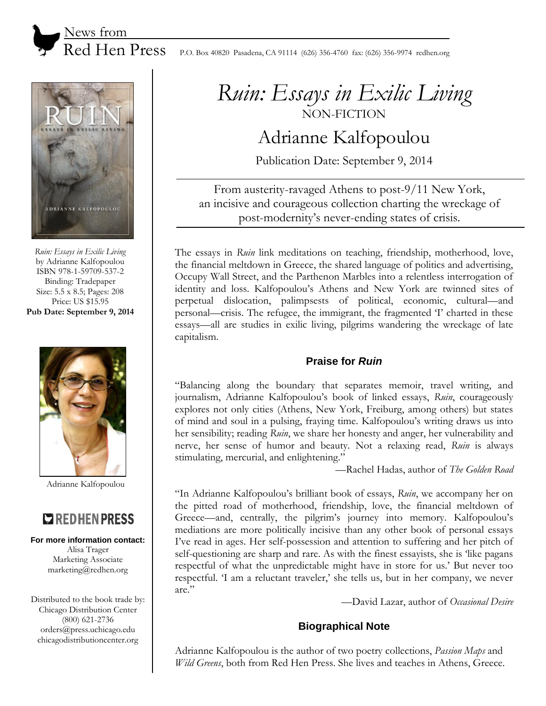News from

 $\text{Red Hen Press}$  P.O. Box 40820 Pasadena, CA 91114 (626) 356-4760 fax: (626) 356-9974 redhen.org



*Ruin: Essays in Exilic Living* by Adrianne Kalfopoulou ISBN 978-1-59709-537-2 Binding: Tradepaper Size: 5.5 x 8.5; Pages: 208 Price: US \$15.95 **Pub Date: September 9, 2014**



Adrianne Kalfopoulou

# **COREDHENPRESS**

#### **For more information contact:**

Alisa Trager Marketing Associate marketing@redhen.org

Distributed to the book trade by: Chicago Distribution Center (800) 621-2736 orders@press.uchicago.edu chicagodistributioncenter.org

# *Ruin: Essays in Exilic Living* NON-FICTION

# Adrianne Kalfopoulou

Publication Date: September 9, 2014

From austerity-ravaged Athens to post-9/11 New York, an incisive and courageous collection charting the wreckage of post-modernity's never-ending states of crisis.

The essays in *Ruin* link meditations on teaching, friendship, motherhood, love, the financial meltdown in Greece, the shared language of politics and advertising, Occupy Wall Street, and the Parthenon Marbles into a relentless interrogation of identity and loss. Kalfopoulou's Athens and New York are twinned sites of perpetual dislocation, palimpsests of political, economic, cultural—and personal—crisis. The refugee, the immigrant, the fragmented 'I' charted in these essays—all are studies in exilic living, pilgrims wandering the wreckage of late capitalism.

## **Praise for** *Ruin*

"Balancing along the boundary that separates memoir, travel writing, and journalism, Adrianne Kalfopoulou's book of linked essays, *Ruin*, courageously explores not only cities (Athens, New York, Freiburg, among others) but states of mind and soul in a pulsing, fraying time. Kalfopoulou's writing draws us into her sensibility; reading *Ruin*, we share her honesty and anger, her vulnerability and nerve, her sense of humor and beauty. Not a relaxing read, *Ruin* is always stimulating, mercurial, and enlightening."

—Rachel Hadas, author of *The Golden Road*

"In Adrianne Kalfopoulou's brilliant book of essays, *Ruin*, we accompany her on the pitted road of motherhood, friendship, love, the financial meltdown of Greece—and, centrally, the pilgrim's journey into memory. Kalfopoulou's mediations are more politically incisive than any other book of personal essays I've read in ages. Her self-possession and attention to suffering and her pitch of self-questioning are sharp and rare. As with the finest essayists, she is 'like pagans respectful of what the unpredictable might have in store for us.' But never too respectful. 'I am a reluctant traveler,' she tells us, but in her company, we never are."

—David Lazar, author of *Occasional Desire*

## **Biographical Note**

Adrianne Kalfopoulou is the author of two poetry collections, *Passion Maps* and *Wild Greens*, both from Red Hen Press. She lives and teaches in Athens, Greece.